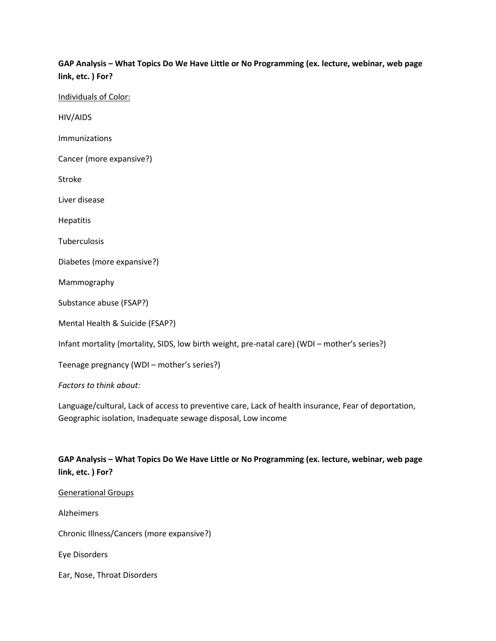# **GAP Analysis – What Topics Do We Have Little or No Programming (ex. lecture, webinar, web page link, etc. ) For?**

Individuals of Color:

HIV/AIDS

Immunizations

Cancer (more expansive?)

Stroke

Liver disease

**Hepatitis** 

**Tuberculosis** 

Diabetes (more expansive?)

Mammography

Substance abuse (FSAP?)

Mental Health & Suicide (FSAP?)

Infant mortality (mortality, SIDS, low birth weight, pre-natal care) (WDI – mother's series?)

Teenage pregnancy (WDI – mother's series?)

*Factors to think about:* 

Language/cultural, Lack of access to preventive care, Lack of health insurance, Fear of deportation, Geographic isolation, Inadequate sewage disposal, Low income

## **GAP Analysis – What Topics Do We Have Little or No Programming (ex. lecture, webinar, web page link, etc. ) For?**

#### Generational Groups

Alzheimers

Chronic Illness/Cancers (more expansive?)

Eye Disorders

Ear, Nose, Throat Disorders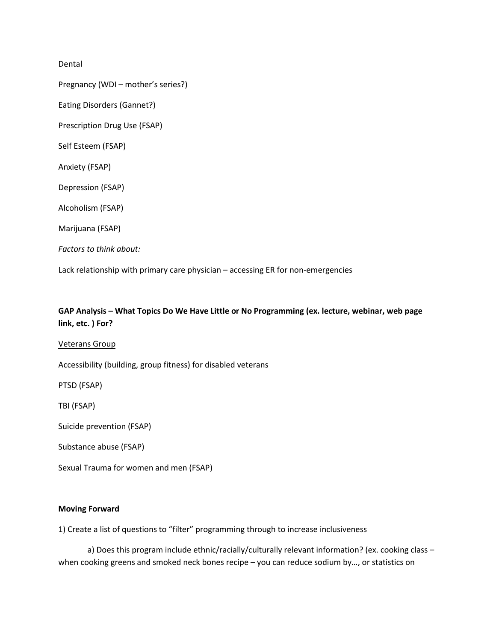Dental

Pregnancy (WDI – mother's series?)

Eating Disorders (Gannet?)

Prescription Drug Use (FSAP)

Self Esteem (FSAP)

Anxiety (FSAP)

Depression (FSAP)

Alcoholism (FSAP)

Marijuana (FSAP)

*Factors to think about:*

Lack relationship with primary care physician – accessing ER for non-emergencies

## **GAP Analysis – What Topics Do We Have Little or No Programming (ex. lecture, webinar, web page link, etc. ) For?**

Veterans Group

Accessibility (building, group fitness) for disabled veterans

PTSD (FSAP)

TBI (FSAP)

Suicide prevention (FSAP)

Substance abuse (FSAP)

Sexual Trauma for women and men (FSAP)

### **Moving Forward**

1) Create a list of questions to "filter" programming through to increase inclusiveness

a) Does this program include ethnic/racially/culturally relevant information? (ex. cooking class – when cooking greens and smoked neck bones recipe – you can reduce sodium by..., or statistics on